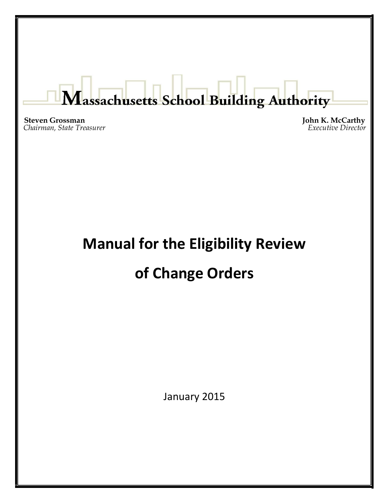# Massachusetts School Building Authority

**Steven Grossman John K. McCarthy** *John K. McCarthy Executive Director Executive Director* 

# **Manual for the Eligibility Review**

# **of Change Orders**

January 2015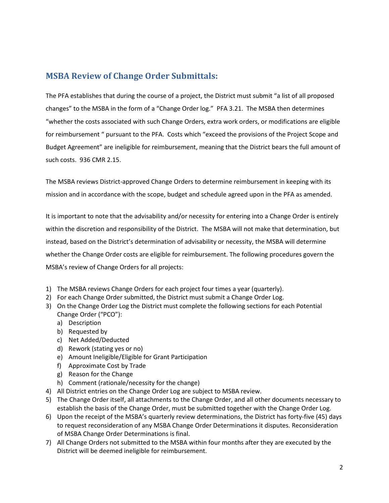### **MSBA Review of Change Order Submittals:**

The PFA establishes that during the course of a project, the District must submit "a list of all proposed changes" to the MSBA in the form of a "Change Order log." PFA 3.21. The MSBA then determines "whether the costs associated with such Change Orders, extra work orders, or modifications are eligible for reimbursement " pursuant to the PFA. Costs which "exceed the provisions of the Project Scope and Budget Agreement" are ineligible for reimbursement, meaning that the District bears the full amount of such costs. 936 CMR 2.15.

The MSBA reviews District-approved Change Orders to determine reimbursement in keeping with its mission and in accordance with the scope, budget and schedule agreed upon in the PFA as amended.

It is important to note that the advisability and/or necessity for entering into a Change Order is entirely within the discretion and responsibility of the District. The MSBA will not make that determination, but instead, based on the District's determination of advisability or necessity, the MSBA will determine whether the Change Order costs are eligible for reimbursement. The following procedures govern the MSBA's review of Change Orders for all projects:

- 1) The MSBA reviews Change Orders for each project four times a year (quarterly).
- 2) For each Change Order submitted, the District must submit a Change Order Log.
- 3) On the Change Order Log the District must complete the following sections for each Potential Change Order ("PCO"):
	- a) Description
	- b) Requested by
	- c) Net Added/Deducted
	- d) Rework (stating yes or no)
	- e) Amount Ineligible/Eligible for Grant Participation
	- f) Approximate Cost by Trade
	- g) Reason for the Change
	- h) Comment (rationale/necessity for the change)
- 4) All District entries on the Change Order Log are subject to MSBA review.
- 5) The Change Order itself, all attachments to the Change Order, and all other documents necessary to establish the basis of the Change Order, must be submitted together with the Change Order Log.
- 6) Upon the receipt of the MSBA's quarterly review determinations, the District has forty-five (45) days to request reconsideration of any MSBA Change Order Determinations it disputes. Reconsideration of MSBA Change Order Determinations is final.
- 7) All Change Orders not submitted to the MSBA within four months after they are executed by the District will be deemed ineligible for reimbursement.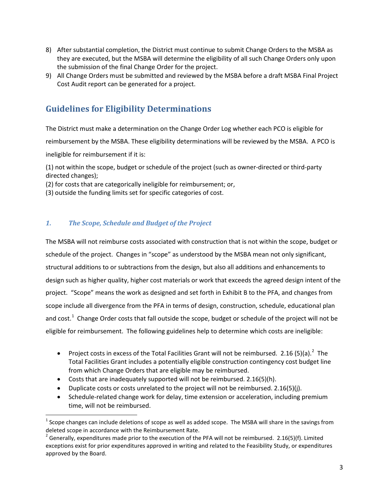- 8) After substantial completion, the District must continue to submit Change Orders to the MSBA as they are executed, but the MSBA will determine the eligibility of all such Change Orders only upon the submission of the final Change Order for the project.
- 9) All Change Orders must be submitted and reviewed by the MSBA before a draft MSBA Final Project Cost Audit report can be generated for a project.

## **Guidelines for Eligibility Determinations**

The District must make a determination on the Change Order Log whether each PCO is eligible for reimbursement by the MSBA. These eligibility determinations will be reviewed by the MSBA. A PCO is ineligible for reimbursement if it is:

(1) not within the scope, budget or schedule of the project (such as owner-directed or third-party directed changes);

(2) for costs that are categorically ineligible for reimbursement; or,

(3) outside the funding limits set for specific categories of cost.

#### *1. The Scope, Schedule and Budget of the Project*

The MSBA will not reimburse costs associated with construction that is not within the scope, budget or schedule of the project. Changes in "scope" as understood by the MSBA mean not only significant, structural additions to or subtractions from the design, but also all additions and enhancements to design such as higher quality, higher cost materials or work that exceeds the agreed design intent of the project. "Scope" means the work as designed and set forth in Exhibit B to the PFA, and changes from scope include all divergence from the PFA in terms of design, construction, schedule, educational plan and cost.<sup>1</sup> Change Order costs that fall outside the scope, budget or schedule of the project will not be eligible for reimbursement. The following guidelines help to determine which costs are ineligible:

- <span id="page-2-1"></span>• Project costs in excess of the Total Facilities Grant will not be reimbursed. [2](#page-2-0).16 (5)(a).<sup>2</sup> The Total Facilities Grant includes a potentially eligible construction contingency cost budget line from which Change Orders that are eligible may be reimbursed.
- Costs that are inadequately supported will not be reimbursed. 2.16(5)(h).
- Duplicate costs or costs unrelated to the project will not be reimbursed. 2.16(5)(j).
- Schedule-related change work for delay, time extension or acceleration, including premium time, will not be reimbursed.

 $1$  Scope changes can include deletions of scope as well as added scope. The MSBA will share in the savings from deleted scope in accordance with the Reimbursement Rate.

<span id="page-2-0"></span><sup>&</sup>lt;sup>2</sup> Generally, expenditures made prior to the execution of the PFA will not be reimbursed. 2.16(5)(f). Limited exceptions exist for prior expenditures approved in writing and related to the Feasibility Study, or expenditures approved by the Board.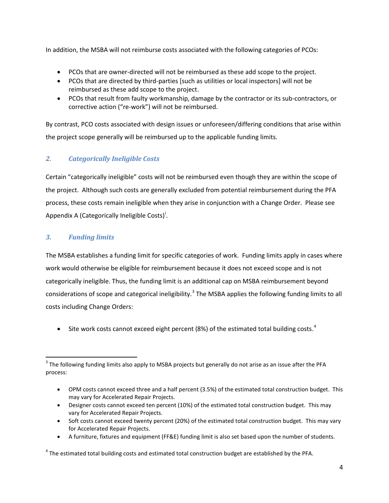In addition, the MSBA will not reimburse costs associated with the following categories of PCOs:

- PCOs that are owner-directed will not be reimbursed as these add scope to the project.
- PCOs that are directed by third-parties [such as utilities or local inspectors] will not be reimbursed as these add scope to the project.
- PCOs that result from faulty workmanship, damage by the contractor or its sub-contractors, or corrective action ("re-work") will not be reimbursed.

By contrast, PCO costs associated with design issues or unforeseen/differing conditions that arise within the project scope generally will be reimbursed up to the applicable funding limits.

#### *2. Categorically Ineligible Costs*

Certain "categorically ineligible" costs will not be reimbursed even though they are within the scope of the project. Although such costs are generally excluded from potential reimbursement during the PFA process, these costs remain ineligible when they arise in conjunction with a Change Order. Please see Append[i](#page-5-0)x A (Categorically Ineligible Costs)<sup>i</sup>.

#### *3. Funding limits*

The MSBA establishes a funding limit for specific categories of work. Funding limits apply in cases where work would otherwise be eligible for reimbursement because it does not exceed scope and is not categorically ineligible. Thus, the funding limit is an additional cap on MSBA reimbursement beyond considerations of scope and categorical ineligibility.<sup>[3](#page-2-1)</sup> The MSBA applies the following funding limits to all costs including Change Orders:

• Site work costs cannot exceed eight percent (8%) of the estimated total building costs.<sup>[4](#page-3-0)</sup>

- OPM costs cannot exceed three and a half percent (3.5%) of the estimated total construction budget. This may vary for Accelerated Repair Projects.
- Designer costs cannot exceed ten percent (10%) of the estimated total construction budget. This may vary for Accelerated Repair Projects.
- Soft costs cannot exceed twenty percent (20%) of the estimated total construction budget. This may vary for Accelerated Repair Projects.
- A furniture, fixtures and equipment (FF&E) funding limit is also set based upon the number of students.

<span id="page-3-0"></span><sup>4</sup> The estimated total building costs and estimated total construction budget are established by the PFA.

 $3$  The following funding limits also apply to MSBA projects but generally do not arise as an issue after the PFA process: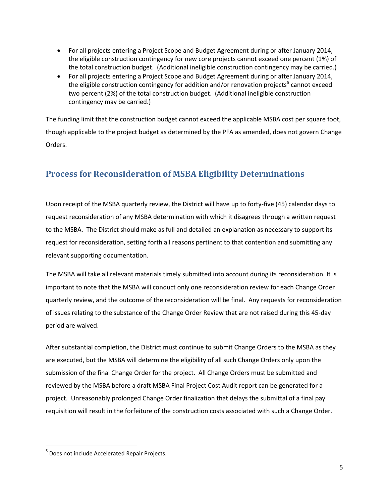- For all projects entering a Project Scope and Budget Agreement during or after January 2014, the eligible construction contingency for new core projects cannot exceed one percent (1%) of the total construction budget. (Additional ineligible construction contingency may be carried.)
- For all projects entering a Project Scope and Budget Agreement during or after January 2014, the eligible construction contingency for addition and/or renovation projects<sup>[5](#page-3-0)</sup> cannot exceed two percent (2%) of the total construction budget. (Additional ineligible construction contingency may be carried.)

The funding limit that the construction budget cannot exceed the applicable MSBA cost per square foot, though applicable to the project budget as determined by the PFA as amended, does not govern Change Orders.

### **Process for Reconsideration of MSBA Eligibility Determinations**

Upon receipt of the MSBA quarterly review, the District will have up to forty-five (45) calendar days to request reconsideration of any MSBA determination with which it disagrees through a written request to the MSBA. The District should make as full and detailed an explanation as necessary to support its request for reconsideration, setting forth all reasons pertinent to that contention and submitting any relevant supporting documentation.

The MSBA will take all relevant materials timely submitted into account during its reconsideration. It is important to note that the MSBA will conduct only one reconsideration review for each Change Order quarterly review, and the outcome of the reconsideration will be final. Any requests for reconsideration of issues relating to the substance of the Change Order Review that are not raised during this 45-day period are waived.

After substantial completion, the District must continue to submit Change Orders to the MSBA as they are executed, but the MSBA will determine the eligibility of all such Change Orders only upon the submission of the final Change Order for the project. All Change Orders must be submitted and reviewed by the MSBA before a draft MSBA Final Project Cost Audit report can be generated for a project. Unreasonably prolonged Change Order finalization that delays the submittal of a final pay requisition will result in the forfeiture of the construction costs associated with such a Change Order.

<sup>&</sup>lt;sup>5</sup> Does not include Accelerated Repair Projects.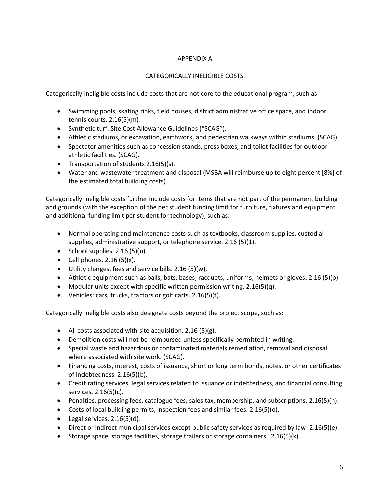#### <span id="page-5-0"></span><u>in de la componenta de la componenta de la componenta de la componenta de la componenta de la componenta de la</u><br>La componenta de la componenta de la componenta de la componenta de la componenta de la componenta de la comp APPENDIX A

#### CATEGORICALLY INELIGIBLE COSTS

Categorically ineligible costs include costs that are not core to the educational program, such as:

- Swimming pools, skating rinks, field houses, district administrative office space, and indoor tennis courts. 2.16(5)(m).
- Synthetic turf. Site Cost Allowance Guidelines ("SCAG").
- Athletic stadiums, or excavation, earthwork, and pedestrian walkways within stadiums. (SCAG).
- Spectator amenities such as concession stands, press boxes, and toilet facilities for outdoor athletic facilities. (SCAG).
- Transportation of students 2.16(5)(s).
- Water and wastewater treatment and disposal (MSBA will reimburse up to eight percent [8%] of the estimated total building costs) .

Categorically ineligible costs further include costs for items that are not part of the permanent building and grounds (with the exception of the per student funding limit for furniture, fixtures and equipment and additional funding limit per student for technology), such as:

- Normal operating and maintenance costs such as textbooks, classroom supplies, custodial supplies, administrative support, or telephone service. 2.16 (5)(1).
- School supplies.  $2.16(5)(u)$ .
- Cell phones.  $2.16(5)(x)$ .
- Utility charges, fees and service bills. 2.16 (5)(w).
- Athletic equipment such as balls, bats, bases, racquets, uniforms, helmets or gloves. 2.16 (5)(p).
- Modular units except with specific written permission writing.  $2.16(5)(q)$ .
- Vehicles: cars, trucks, tractors or golf carts. 2.16(5)(t).

Categorically ineligible costs also designate costs beyond the project scope, such as:

- All costs associated with site acquisition. 2.16 (5)(g).
- Demolition costs will not be reimbursed unless specifically permitted in writing.
- Special waste and hazardous or contaminated materials remediation, removal and disposal where associated with site work. (SCAG).
- Financing costs, interest, costs of issuance, short or long term bonds, notes, or other certificates of indebtedness. 2.16(5)(b).
- Credit rating services, legal services related to issuance or indebtedness, and financial consulting services. 2.16(5)(c).
- Penalties, processing fees, catalogue fees, sales tax, membership, and subscriptions. 2.16(5)(n).
- Costs of local building permits, inspection fees and similar fees. 2.16(5)(o).
- Legal services.  $2.16(5)(d)$ .
- Direct or indirect municipal services except public safety services as required by law. 2.16(5)(e).
- Storage space, storage facilities, storage trailers or storage containers. 2.16(5)(k).